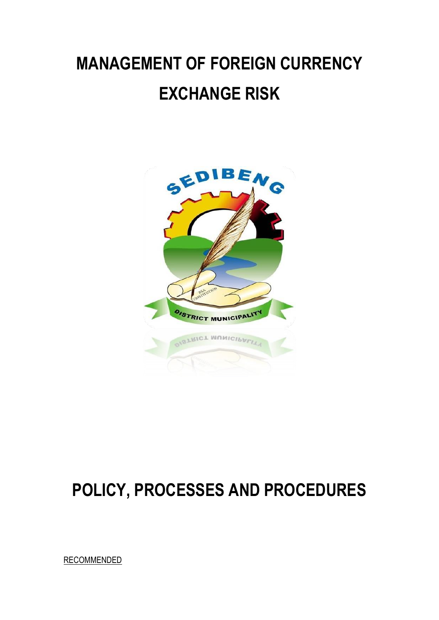# **MANAGEMENT OF FOREIGN CURRENCY EXCHANGE RISK**



## **POLICY, PROCESSES AND PROCEDURES**

**RECOMMENDED**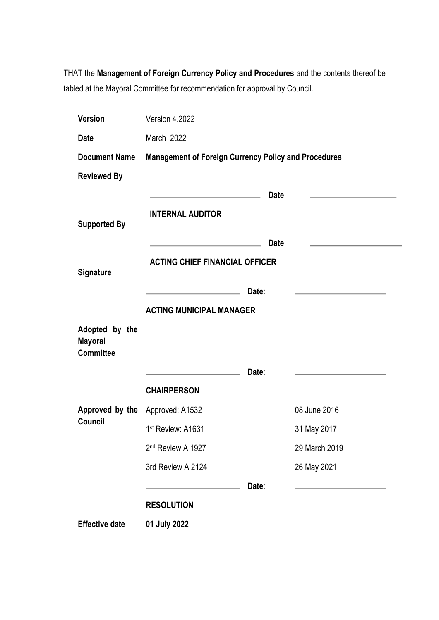THAT the **Management of Foreign Currency Policy and Procedures** and the contents thereof be tabled at the Mayoral Committee for recommendation for approval by Council.

| <b>Version</b>                                       | Version 4.2022                                                                                                         |       |               |
|------------------------------------------------------|------------------------------------------------------------------------------------------------------------------------|-------|---------------|
| <b>Date</b>                                          | March 2022                                                                                                             |       |               |
| <b>Document Name</b>                                 | <b>Management of Foreign Currency Policy and Procedures</b>                                                            |       |               |
| <b>Reviewed By</b>                                   |                                                                                                                        |       |               |
|                                                      | <u> 1989 - Johann Harry Barn, mars and de Branch and de Branch and de Branch and de Branch and de Branch and de Br</u> | Date: |               |
|                                                      | <b>INTERNAL AUDITOR</b>                                                                                                |       |               |
| <b>Supported By</b>                                  |                                                                                                                        |       |               |
|                                                      |                                                                                                                        | Date: |               |
| <b>Signature</b>                                     | <b>ACTING CHIEF FINANCIAL OFFICER</b>                                                                                  |       |               |
|                                                      | <u> 1980 - John Harry Harry Harry Harry Harry Harry Harry Harry Harry Harry Harry Harry Harry Harry Harry Harry H</u>  | Date: |               |
|                                                      | <b>ACTING MUNICIPAL MANAGER</b>                                                                                        |       |               |
| Adopted by the<br><b>Mayoral</b><br><b>Committee</b> |                                                                                                                        |       |               |
|                                                      | <u> 1989 - Johann Barbara, martxa al</u>                                                                               | Date: |               |
|                                                      | <b>CHAIRPERSON</b>                                                                                                     |       |               |
| Approved by the Approved: A1532                      |                                                                                                                        |       | 08 June 2016  |
| <b>Council</b>                                       | 1st Review: A1631                                                                                                      |       | 31 May 2017   |
|                                                      | 2 <sup>nd</sup> Review A 1927                                                                                          |       | 29 March 2019 |
|                                                      | 3rd Review A 2124                                                                                                      |       | 26 May 2021   |
|                                                      |                                                                                                                        | Date: |               |
|                                                      | <b>RESOLUTION</b>                                                                                                      |       |               |
| <b>Effective date</b>                                | 01 July 2022                                                                                                           |       |               |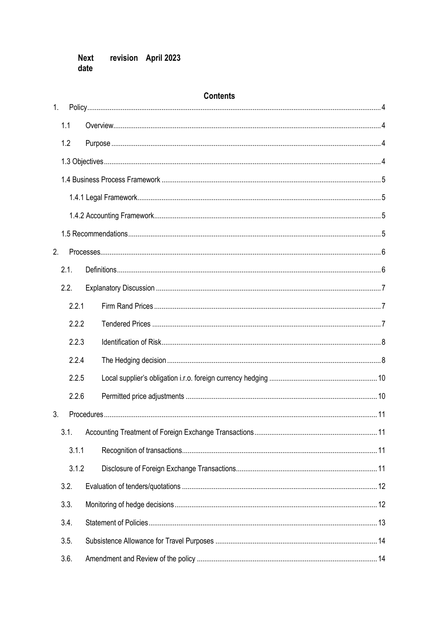#### revision April 2023 **Next** date

#### **Contents**

<span id="page-2-0"></span>

| 1. |       |  |
|----|-------|--|
|    | 1.1   |  |
|    | 1.2   |  |
|    |       |  |
|    |       |  |
|    |       |  |
|    |       |  |
|    |       |  |
| 2. |       |  |
|    | 2.1.  |  |
|    | 2.2.  |  |
|    | 2.2.1 |  |
|    | 2.2.2 |  |
|    | 2.2.3 |  |
|    | 2.2.4 |  |
|    | 2.2.5 |  |
|    | 2.2.6 |  |
| 3. |       |  |
|    | 3.1.  |  |
|    | 3.1.1 |  |
|    | 3.1.2 |  |
|    | 3.2.  |  |
|    | 3.3.  |  |
|    | 3.4.  |  |
|    | 3.5.  |  |
|    | 3.6.  |  |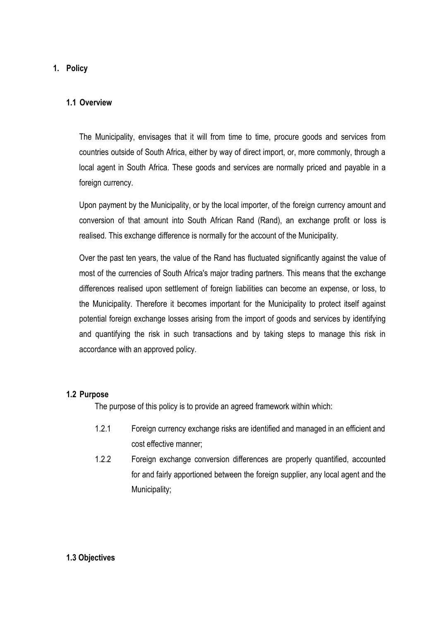#### **1. Policy**

#### <span id="page-3-0"></span>**1.1 Overview**

The Municipality, envisages that it will from time to time, procure goods and services from countries outside of South Africa, either by way of direct import, or, more commonly, through a local agent in South Africa. These goods and services are normally priced and payable in a foreign currency.

Upon payment by the Municipality, or by the local importer, of the foreign currency amount and conversion of that amount into South African Rand (Rand), an exchange profit or loss is realised. This exchange difference is normally for the account of the Municipality.

Over the past ten years, the value of the Rand has fluctuated significantly against the value of most of the currencies of South Africa's major trading partners. This means that the exchange differences realised upon settlement of foreign liabilities can become an expense, or loss, to the Municipality. Therefore it becomes important for the Municipality to protect itself against potential foreign exchange losses arising from the import of goods and services by identifying and quantifying the risk in such transactions and by taking steps to manage this risk in accordance with an approved policy.

#### <span id="page-3-1"></span>**1.2 Purpose**

The purpose of this policy is to provide an agreed framework within which:

- 1.2.1 Foreign currency exchange risks are identified and managed in an efficient and cost effective manner;
- 1.2.2 Foreign exchange conversion differences are properly quantified, accounted for and fairly apportioned between the foreign supplier, any local agent and the Municipality;

#### <span id="page-3-2"></span>**1.3 Objectives**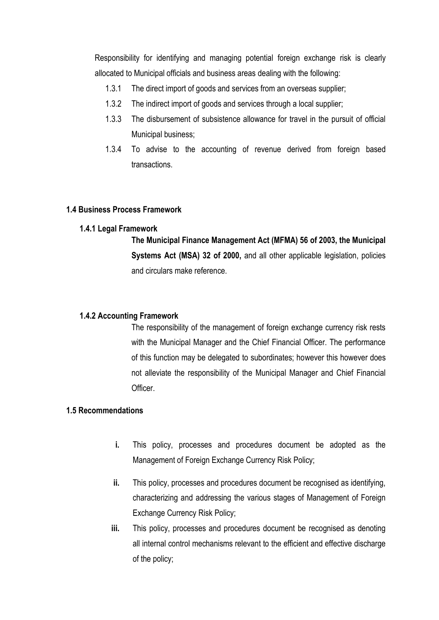Responsibility for identifying and managing potential foreign exchange risk is clearly allocated to Municipal officials and business areas dealing with the following:

- 1.3.1 The direct import of goods and services from an overseas supplier;
- 1.3.2 The indirect import of goods and services through a local supplier;
- 1.3.3 The disbursement of subsistence allowance for travel in the pursuit of official Municipal business;
- 1.3.4 To advise to the accounting of revenue derived from foreign based transactions.

#### <span id="page-4-0"></span>**1.4 Business Process Framework**

#### <span id="page-4-1"></span>**1.4.1 Legal Framework**

**The Municipal Finance Management Act (MFMA) 56 of 2003, the Municipal Systems Act (MSA) 32 of 2000,** and all other applicable legislation, policies and circulars make reference.

#### <span id="page-4-2"></span>**1.4.2 Accounting Framework**

The responsibility of the management of foreign exchange currency risk rests with the Municipal Manager and the Chief Financial Officer. The performance of this function may be delegated to subordinates; however this however does not alleviate the responsibility of the Municipal Manager and Chief Financial Officer.

#### <span id="page-4-3"></span>**1.5 Recommendations**

- **i.** This policy, processes and procedures document be adopted as the Management of Foreign Exchange Currency Risk Policy;
- **ii.** This policy, processes and procedures document be recognised as identifying, characterizing and addressing the various stages of Management of Foreign Exchange Currency Risk Policy;
- **iii.** This policy, processes and procedures document be recognised as denoting all internal control mechanisms relevant to the efficient and effective discharge of the policy;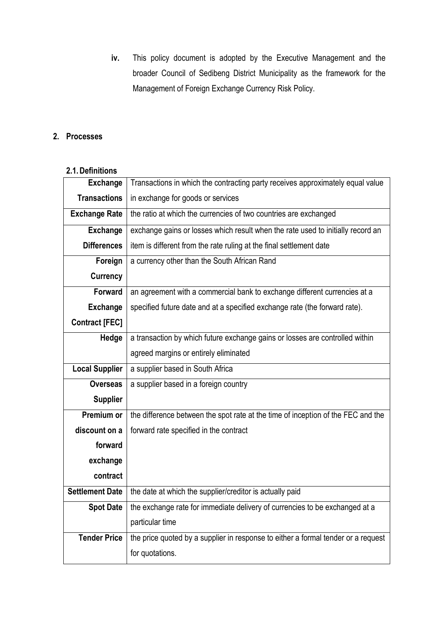**iv.** This policy document is adopted by the Executive Management and the broader Council of Sedibeng District Municipality as the framework for the Management of Foreign Exchange Currency Risk Policy.

#### <span id="page-5-0"></span>**2. Processes**

#### <span id="page-5-1"></span>**2.1.Definitions**

| <b>Exchange</b>        | Transactions in which the contracting party receives approximately equal value    |  |
|------------------------|-----------------------------------------------------------------------------------|--|
| <b>Transactions</b>    | in exchange for goods or services                                                 |  |
| <b>Exchange Rate</b>   | the ratio at which the currencies of two countries are exchanged                  |  |
| <b>Exchange</b>        | exchange gains or losses which result when the rate used to initially record an   |  |
| <b>Differences</b>     | item is different from the rate ruling at the final settlement date               |  |
| Foreign                | a currency other than the South African Rand                                      |  |
| <b>Currency</b>        |                                                                                   |  |
| <b>Forward</b>         | an agreement with a commercial bank to exchange different currencies at a         |  |
| <b>Exchange</b>        | specified future date and at a specified exchange rate (the forward rate).        |  |
| <b>Contract [FEC]</b>  |                                                                                   |  |
| Hedge                  | a transaction by which future exchange gains or losses are controlled within      |  |
|                        | agreed margins or entirely eliminated                                             |  |
| <b>Local Supplier</b>  | a supplier based in South Africa                                                  |  |
| <b>Overseas</b>        | a supplier based in a foreign country                                             |  |
| <b>Supplier</b>        |                                                                                   |  |
| Premium or             | the difference between the spot rate at the time of inception of the FEC and the  |  |
| discount on a          | forward rate specified in the contract                                            |  |
| forward                |                                                                                   |  |
| exchange               |                                                                                   |  |
| contract               |                                                                                   |  |
| <b>Settlement Date</b> | the date at which the supplier/creditor is actually paid                          |  |
| <b>Spot Date</b>       | the exchange rate for immediate delivery of currencies to be exchanged at a       |  |
|                        | particular time                                                                   |  |
| <b>Tender Price</b>    | the price quoted by a supplier in response to either a formal tender or a request |  |
|                        | for quotations.                                                                   |  |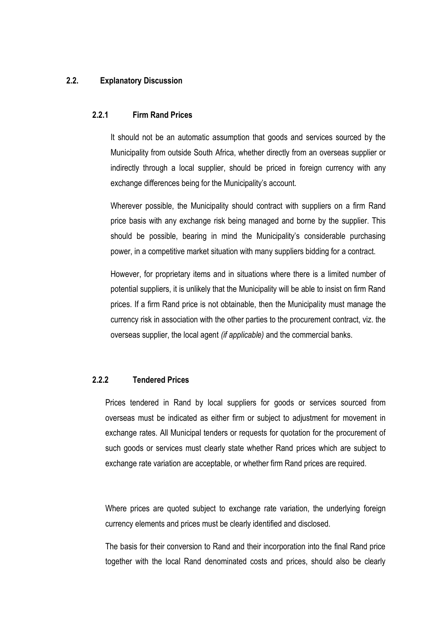#### <span id="page-6-1"></span><span id="page-6-0"></span>**2.2. Explanatory Discussion**

#### **2.2.1 Firm Rand Prices**

It should not be an automatic assumption that goods and services sourced by the Municipality from outside South Africa, whether directly from an overseas supplier or indirectly through a local supplier, should be priced in foreign currency with any exchange differences being for the Municipality's account.

Wherever possible, the Municipality should contract with suppliers on a firm Rand price basis with any exchange risk being managed and borne by the supplier. This should be possible, bearing in mind the Municipality's considerable purchasing power, in a competitive market situation with many suppliers bidding for a contract.

However, for proprietary items and in situations where there is a limited number of potential suppliers, it is unlikely that the Municipality will be able to insist on firm Rand prices. If a firm Rand price is not obtainable, then the Municipality must manage the currency risk in association with the other parties to the procurement contract, viz. the overseas supplier, the local agent *(if applicable)* and the commercial banks.

#### <span id="page-6-2"></span>**2.2.2 Tendered Prices**

Prices tendered in Rand by local suppliers for goods or services sourced from overseas must be indicated as either firm or subject to adjustment for movement in exchange rates. All Municipal tenders or requests for quotation for the procurement of such goods or services must clearly state whether Rand prices which are subject to exchange rate variation are acceptable, or whether firm Rand prices are required.

Where prices are quoted subject to exchange rate variation, the underlying foreign currency elements and prices must be clearly identified and disclosed.

The basis for their conversion to Rand and their incorporation into the final Rand price together with the local Rand denominated costs and prices, should also be clearly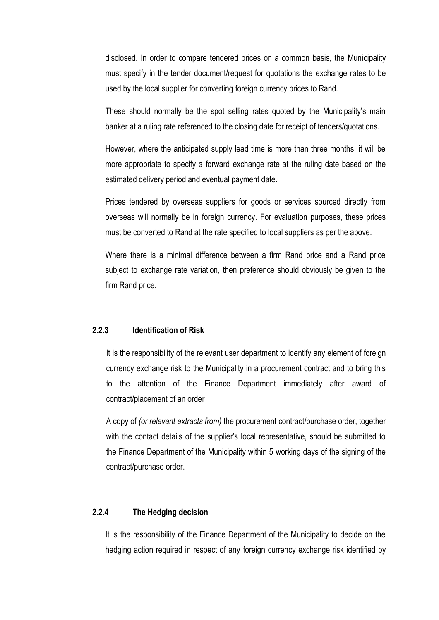disclosed. In order to compare tendered prices on a common basis, the Municipality must specify in the tender document/request for quotations the exchange rates to be used by the local supplier for converting foreign currency prices to Rand.

These should normally be the spot selling rates quoted by the Municipality's main banker at a ruling rate referenced to the closing date for receipt of tenders/quotations.

However, where the anticipated supply lead time is more than three months, it will be more appropriate to specify a forward exchange rate at the ruling date based on the estimated delivery period and eventual payment date.

Prices tendered by overseas suppliers for goods or services sourced directly from overseas will normally be in foreign currency. For evaluation purposes, these prices must be converted to Rand at the rate specified to local suppliers as per the above.

Where there is a minimal difference between a firm Rand price and a Rand price subject to exchange rate variation, then preference should obviously be given to the firm Rand price.

#### <span id="page-7-0"></span>**2.2.3 Identification of Risk**

It is the responsibility of the relevant user department to identify any element of foreign currency exchange risk to the Municipality in a procurement contract and to bring this to the attention of the Finance Department immediately after award of contract/placement of an order

A copy of *(or relevant extracts from)* the procurement contract/purchase order, together with the contact details of the supplier's local representative, should be submitted to the Finance Department of the Municipality within 5 working days of the signing of the contract/purchase order.

#### <span id="page-7-1"></span>**2.2.4 The Hedging decision**

It is the responsibility of the Finance Department of the Municipality to decide on the hedging action required in respect of any foreign currency exchange risk identified by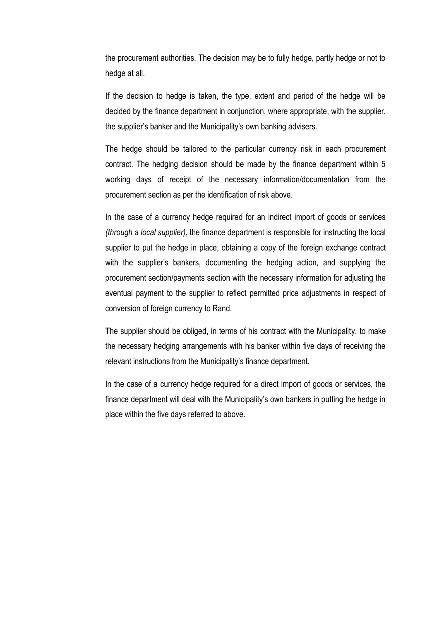the procurement authorities. The decision may be to fully hedge, partly hedge or not to hedge at all.

If the decision to hedge is taken, the type, extent and period of the hedge will be decided by the finance department in conjunction, where appropriate, with the supplier, the supplier's banker and the Municipality's own banking advisers.

The hedge should be tailored to the particular currency risk in each procurement contract. The hedging decision should be made by the finance department within 5 working days of receipt of the necessary information/documentation from the procurement section as per the identification of risk above.

In the case of a currency hedge required for an indirect import of goods or services *(through a local supplier)*, the finance department is responsible for instructing the local supplier to put the hedge in place, obtaining a copy of the foreign exchange contract with the supplier's bankers, documenting the hedging action, and supplying the procurement section/payments section with the necessary information for adjusting the eventual payment to the supplier to reflect permitted price adjustments in respect of conversion of foreign currency to Rand.

The supplier should be obliged, in terms of his contract with the Municipality, to make the necessary hedging arrangements with his banker within five days of receiving the relevant instructions from the Municipality's finance department.

In the case of a currency hedge required for a direct import of goods or services, the finance department will deal with the Municipality's own bankers in putting the hedge in place within the five days referred to above.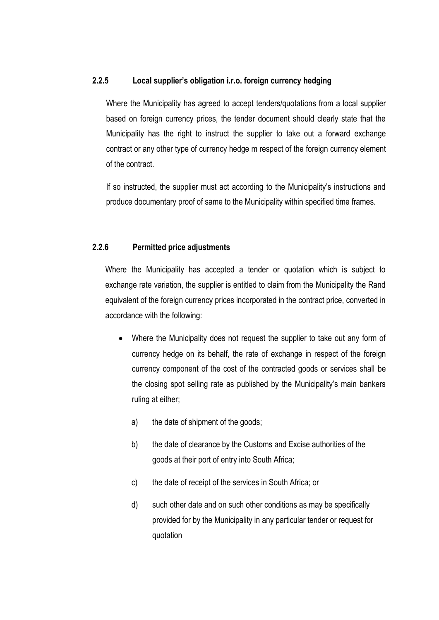#### <span id="page-9-0"></span>**2.2.5 Local supplier's obligation i.r.o. foreign currency hedging**

Where the Municipality has agreed to accept tenders/quotations from a local supplier based on foreign currency prices, the tender document should clearly state that the Municipality has the right to instruct the supplier to take out a forward exchange contract or any other type of currency hedge m respect of the foreign currency element of the contract.

If so instructed, the supplier must act according to the Municipality's instructions and produce documentary proof of same to the Municipality within specified time frames.

#### <span id="page-9-1"></span>**2.2.6 Permitted price adjustments**

Where the Municipality has accepted a tender or quotation which is subject to exchange rate variation, the supplier is entitled to claim from the Municipality the Rand equivalent of the foreign currency prices incorporated in the contract price, converted in accordance with the following:

- Where the Municipality does not request the supplier to take out any form of currency hedge on its behalf, the rate of exchange in respect of the foreign currency component of the cost of the contracted goods or services shall be the closing spot selling rate as published by the Municipality's main bankers ruling at either;
	- a) the date of shipment of the goods;
	- b) the date of clearance by the Customs and Excise authorities of the goods at their port of entry into South Africa;
	- c) the date of receipt of the services in South Africa; or
	- d) such other date and on such other conditions as may be specifically provided for by the Municipality in any particular tender or request for quotation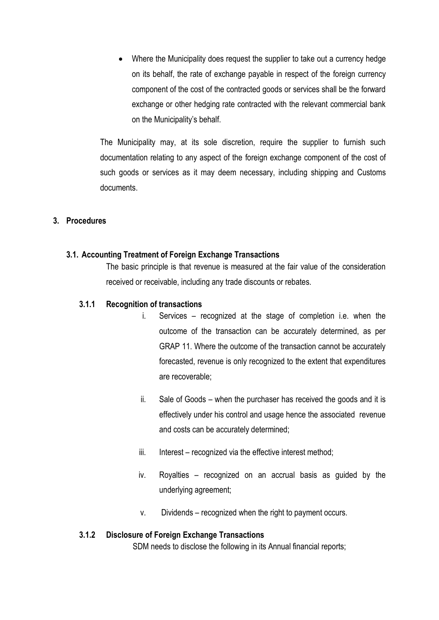Where the Municipality does request the supplier to take out a currency hedge on its behalf, the rate of exchange payable in respect of the foreign currency component of the cost of the contracted goods or services shall be the forward exchange or other hedging rate contracted with the relevant commercial bank on the Municipality's behalf.

The Municipality may, at its sole discretion, require the supplier to furnish such documentation relating to any aspect of the foreign exchange component of the cost of such goods or services as it may deem necessary, including shipping and Customs documents.

#### <span id="page-10-0"></span>**3. Procedures**

#### <span id="page-10-1"></span>**3.1. Accounting Treatment of Foreign Exchange Transactions**

The basic principle is that revenue is measured at the fair value of the consideration received or receivable, including any trade discounts or rebates.

#### <span id="page-10-2"></span>**3.1.1 Recognition of transactions**

- i. Services recognized at the stage of completion i.e. when the outcome of the transaction can be accurately determined, as per GRAP 11. Where the outcome of the transaction cannot be accurately forecasted, revenue is only recognized to the extent that expenditures are recoverable;
- ii. Sale of Goods when the purchaser has received the goods and it is effectively under his control and usage hence the associated revenue and costs can be accurately determined;
- iii. Interest recognized via the effective interest method;
- iv. Royalties recognized on an accrual basis as guided by the underlying agreement;
- v. Dividends recognized when the right to payment occurs.

#### <span id="page-10-3"></span>**3.1.2 Disclosure of Foreign Exchange Transactions**

SDM needs to disclose the following in its Annual financial reports;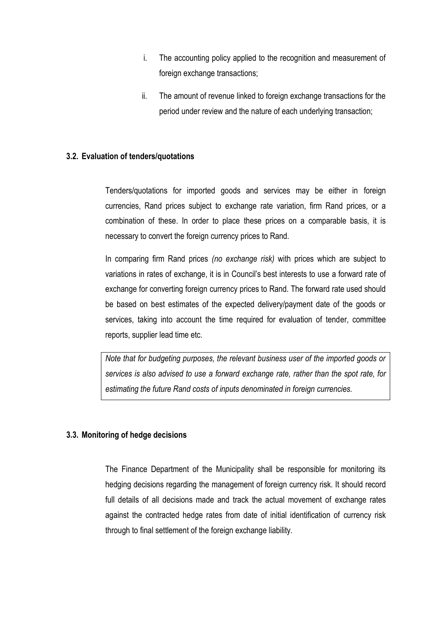- i. The accounting policy applied to the recognition and measurement of foreign exchange transactions;
- ii. The amount of revenue linked to foreign exchange transactions for the period under review and the nature of each underlying transaction;

#### <span id="page-11-0"></span>**3.2. Evaluation of tenders/quotations**

Tenders/quotations for imported goods and services may be either in foreign currencies, Rand prices subject to exchange rate variation, firm Rand prices, or a combination of these. In order to place these prices on a comparable basis, it is necessary to convert the foreign currency prices to Rand.

In comparing firm Rand prices *(no exchange risk)* with prices which are subject to variations in rates of exchange, it is in Council's best interests to use a forward rate of exchange for converting foreign currency prices to Rand. The forward rate used should be based on best estimates of the expected delivery/payment date of the goods or services, taking into account the time required for evaluation of tender, committee reports, supplier lead time etc.

*Note that for budgeting purposes, the relevant business user of the imported goods or services is also advised to use a forward exchange rate, rather than the spot rate, for estimating the future Rand costs of inputs denominated in foreign currencies.*

#### <span id="page-11-1"></span>**3.3. Monitoring of hedge decisions**

The Finance Department of the Municipality shall be responsible for monitoring its hedging decisions regarding the management of foreign currency risk. It should record full details of all decisions made and track the actual movement of exchange rates against the contracted hedge rates from date of initial identification of currency risk through to final settlement of the foreign exchange liability.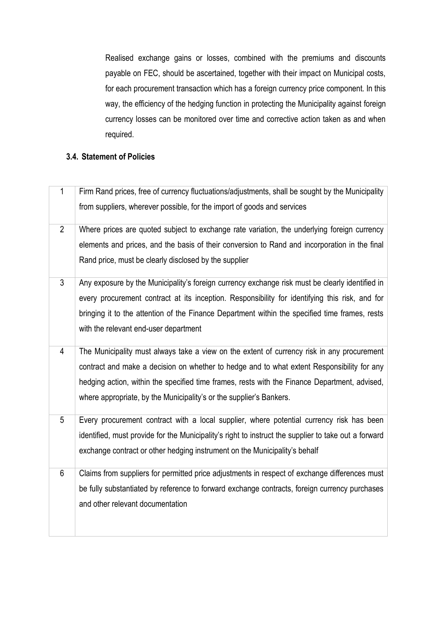Realised exchange gains or losses, combined with the premiums and discounts payable on FEC, should be ascertained, together with their impact on Municipal costs, for each procurement transaction which has a foreign currency price component. In this way, the efficiency of the hedging function in protecting the Municipality against foreign currency losses can be monitored over time and corrective action taken as and when required.

#### <span id="page-12-0"></span>**3.4. Statement of Policies**

| 1              | Firm Rand prices, free of currency fluctuations/adjustments, shall be sought by the Municipality     |
|----------------|------------------------------------------------------------------------------------------------------|
|                | from suppliers, wherever possible, for the import of goods and services                              |
| $\overline{2}$ | Where prices are quoted subject to exchange rate variation, the underlying foreign currency          |
|                | elements and prices, and the basis of their conversion to Rand and incorporation in the final        |
|                | Rand price, must be clearly disclosed by the supplier                                                |
| $\overline{3}$ | Any exposure by the Municipality's foreign currency exchange risk must be clearly identified in      |
|                | every procurement contract at its inception. Responsibility for identifying this risk, and for       |
|                | bringing it to the attention of the Finance Department within the specified time frames, rests       |
|                | with the relevant end-user department                                                                |
| $\overline{4}$ | The Municipality must always take a view on the extent of currency risk in any procurement           |
|                | contract and make a decision on whether to hedge and to what extent Responsibility for any           |
|                | hedging action, within the specified time frames, rests with the Finance Department, advised,        |
|                | where appropriate, by the Municipality's or the supplier's Bankers.                                  |
|                |                                                                                                      |
| 5              | Every procurement contract with a local supplier, where potential currency risk has been             |
|                | identified, must provide for the Municipality's right to instruct the supplier to take out a forward |
|                | exchange contract or other hedging instrument on the Municipality's behalf                           |
| $6\phantom{1}$ | Claims from suppliers for permitted price adjustments in respect of exchange differences must        |
|                | be fully substantiated by reference to forward exchange contracts, foreign currency purchases        |
|                | and other relevant documentation                                                                     |
|                |                                                                                                      |
|                |                                                                                                      |